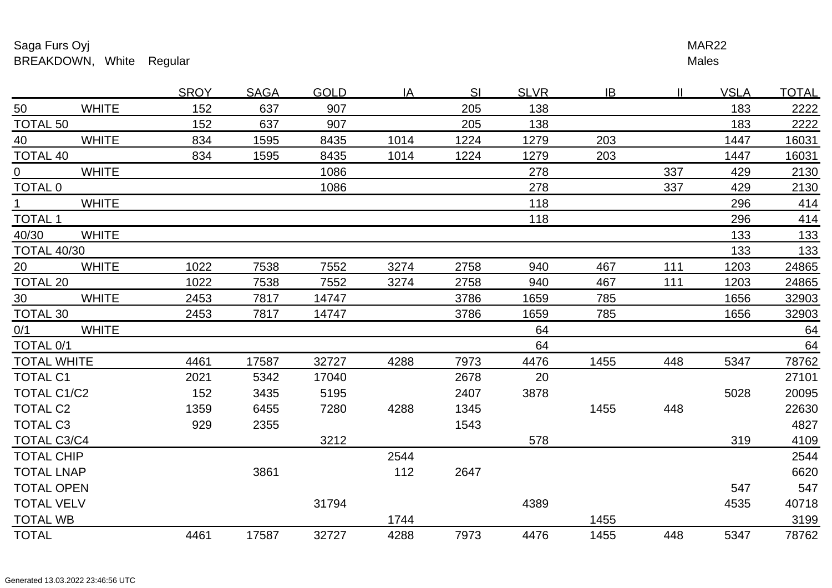## Saga Furs Oyjjuho kata kwa mwaka wa 1972, wakazi wa 1972, wakazi wa 1982, wakazi wa 1982, wakazi wa 1982, wakazi wa 1982, w BREAKDOWN, White Regular

Males <u>r and the set of the set of the set of the set of the set of the set of the set of the set of the set of the set of the set of the set of the set of the set of the set of the set of the set of the set of the set of the se</u>

|                        |              | <b>SROY</b> | <b>SAGA</b> | <b>GOLD</b> | IA.  | -SI  | <b>SLVR</b> | IB.  | H.  | <u>VSLA</u> | <u>TOTAL</u> |
|------------------------|--------------|-------------|-------------|-------------|------|------|-------------|------|-----|-------------|--------------|
| 50                     | <b>WHITE</b> | 152         | 637         | 907         |      | 205  | 138         |      |     | 183         | 2222         |
| TOTAL 50               |              | 152         | 637         | 907         |      | 205  | 138         |      |     | 183         | 2222         |
| 40                     | <b>WHITE</b> | 834         | 1595        | 8435        | 1014 | 1224 | 1279        | 203  |     | 1447        | 16031        |
| <b>TOTAL 40</b>        |              | 834         | 1595        | 8435        | 1014 | 1224 | 1279        | 203  |     | 1447        | 16031        |
| $\overline{0}$         | <b>WHITE</b> |             |             | 1086        |      |      | 278         |      | 337 | 429         | 2130         |
| TOTAL <sub>0</sub>     |              |             |             | 1086        |      |      | 278         |      | 337 | 429         | 2130         |
| $1 \quad \blacksquare$ | <b>WHITE</b> |             |             |             |      |      | 118         |      |     | 296         | 414          |
| <b>TOTAL 1</b>         |              |             |             |             |      |      | 118         |      |     | 296         | 414          |
| 40/30                  | <b>WHITE</b> |             |             |             |      |      |             |      |     | 133         | 133          |
| <b>TOTAL 40/30</b>     |              |             |             |             |      |      |             |      |     | 133         | 133          |
| 20                     | <b>WHITE</b> | 1022        | 7538        | 7552        | 3274 | 2758 | 940         | 467  | 111 | 1203        | 24865        |
| TOTAL 20               |              | 1022        | 7538        | 7552        | 3274 | 2758 | 940         | 467  | 111 | 1203        | 24865        |
| 30                     | <b>WHITE</b> | 2453        | 7817        | 14747       |      | 3786 | 1659        | 785  |     | 1656        | 32903        |
| TOTAL <sub>30</sub>    |              | 2453        | 7817        | 14747       |      | 3786 | 1659        | 785  |     | 1656        | 32903        |
| 0/1                    | <b>WHITE</b> |             |             |             |      |      | 64          |      |     |             | 64           |
| TOTAL 0/1              |              |             |             |             |      |      | 64          |      |     |             | 64           |
| <b>TOTAL WHITE</b>     |              | 4461        | 17587       | 32727       | 4288 | 7973 | 4476        | 1455 | 448 | 5347        | 78762        |
| <b>TOTAL C1</b>        |              | 2021        | 5342        | 17040       |      | 2678 | 20          |      |     |             | 27101        |
| TOTAL C1/C2            |              | 152         | 3435        | 5195        |      | 2407 | 3878        |      |     | 5028        | 20095        |
| <b>TOTAL C2</b>        |              | 1359        | 6455        | 7280        | 4288 | 1345 |             | 1455 | 448 |             | 22630        |
| <b>TOTAL C3</b>        |              | 929         | 2355        |             |      | 1543 |             |      |     |             | 4827         |
| TOTAL C3/C4            |              |             |             | 3212        |      |      | 578         |      |     | 319         | 4109         |
| <b>TOTAL CHIP</b>      |              |             |             |             | 2544 |      |             |      |     |             | 2544         |
| <b>TOTAL LNAP</b>      |              |             | 3861        |             | 112  | 2647 |             |      |     |             | 6620         |
| <b>TOTAL OPEN</b>      |              |             |             |             |      |      |             |      |     | 547         | 547          |
| <b>TOTAL VELV</b>      |              |             |             | 31794       |      |      | 4389        |      |     | 4535        | 40718        |
| <b>TOTAL WB</b>        |              |             |             |             | 1744 |      |             | 1455 |     |             | 3199         |
| <b>TOTAL</b>           |              | 4461        | 17587       | 32727       | 4288 | 7973 | 4476        | 1455 | 448 | 5347        | 78762        |
|                        |              |             |             |             |      |      |             |      |     |             |              |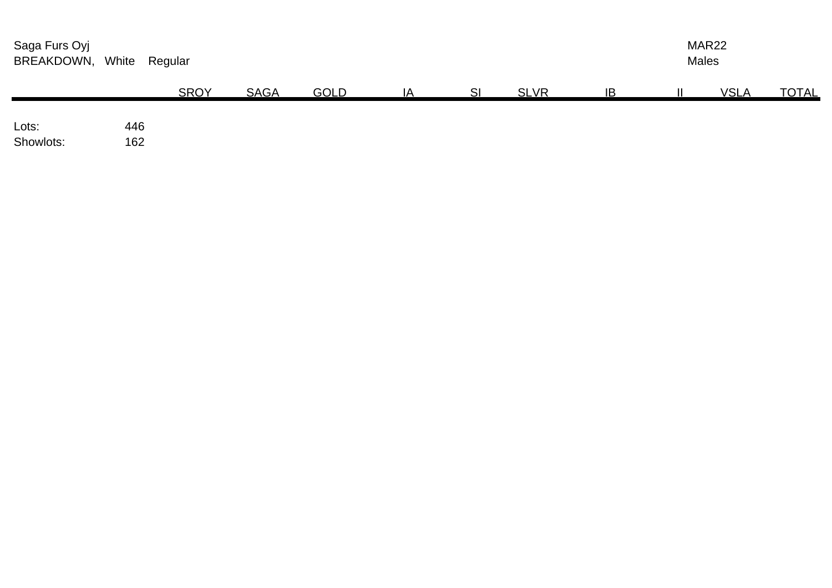| Saga Furs Oyj<br>BREAKDOWN, White |            | Regular     |             |             |    |    |             |    | MAR22<br><b>Males</b> |             |              |  |
|-----------------------------------|------------|-------------|-------------|-------------|----|----|-------------|----|-----------------------|-------------|--------------|--|
|                                   |            | <b>SROY</b> | <b>SAGA</b> | <b>GOLD</b> | IA | SI | <b>SLVR</b> | IB |                       | <b>VSLA</b> | <b>TOTAL</b> |  |
| Lots:<br>Showlots:                | 446<br>162 |             |             |             |    |    |             |    |                       |             |              |  |